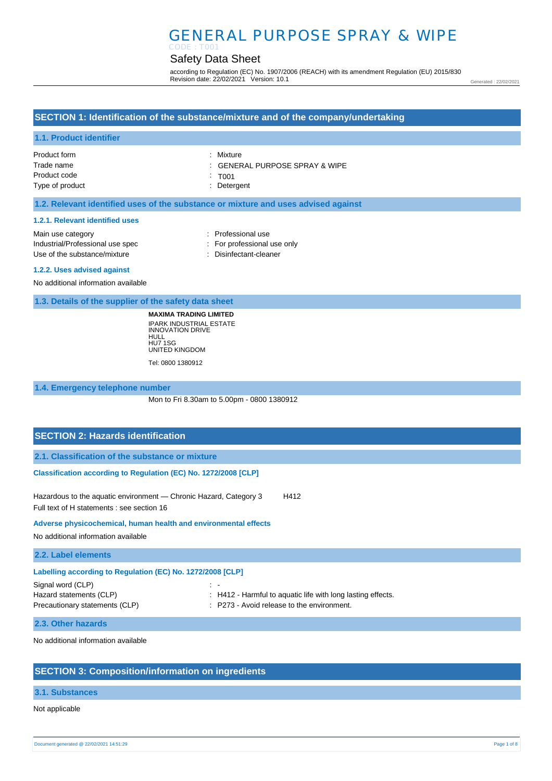# GENERAL PURPOSE SPRAY & WIPE

## Safety Data Sheet

according to Regulation (EC) No. 1907/2006 (REACH) with its amendment Regulation (EU) 2015/830 Revision date: 22/02/2021 Version: 10.1

Generated : 22/02/2021

## **SECTION 1: Identification of the substance/mixture and of the company/undertaking**

#### **1.1. Product identifier**

| Product form    | : Mixture                                 |
|-----------------|-------------------------------------------|
| Trade name      | $\therefore$ GENERAL PURPOSE SPRAY & WIPE |
| Product code    | $\therefore$ TO01                         |
| Type of product | : Detergent                               |

#### **1.2. Relevant identified uses of the substance or mixture and uses advised against**

#### **1.2.1. Relevant identified uses**

| Main use category                |  |
|----------------------------------|--|
| Industrial/Professional use spec |  |
| Use of the substance/mixture     |  |

Professional use For professional use only

Disinfectant-cleaner

#### **1.2.2. Uses advised against**

No additional information available

**1.3. Details of the supplier of the safety data sheet**

**MAXIMA TRADING LIMITED** IPARK INDUSTRIAL ESTATE INNOVATION DRIVE HULL HU7 1SG UNITED KINGDOM

Tel: 0800 1380912

#### **1.4. Emergency telephone number**

Mon to Fri 8.30am to 5.00pm - 0800 1380912

## **SECTION 2: Hazards identification 2.1. Classification of the substance or mixture Classification according to Regulation (EC) No. 1272/2008 [CLP]** Hazardous to the aquatic environment - Chronic Hazard, Category 3 H412 Full text of H statements : see section 16 **Adverse physicochemical, human health and environmental effects**  No additional information available **2.2. Label elements Labelling according to Regulation (EC) No. 1272/2008 [CLP]**  Signal word (CLP)  $\qquad \qquad$  : : H412 - Harmful to aquatic life with long lasting effects.

: P273 - Avoid release to the environment.

| Hazard statements (CLP)        |  |
|--------------------------------|--|
| Precautionary statements (CLP) |  |
|                                |  |

#### **2.3. Other hazards**

No additional information available

## **SECTION 3: Composition/information on ingredients**

#### **3.1. Substances**

Not applicable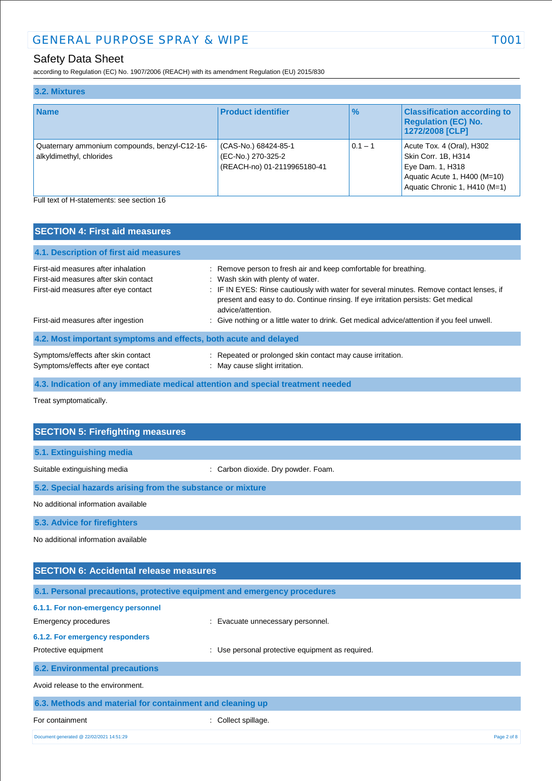## Safety Data Sheet

according to Regulation (EC) No. 1907/2006 (REACH) with its amendment Regulation (EU) 2015/830

| 3.2. Mixtures                                                             |                                                                           |               |                                                                                                                                       |
|---------------------------------------------------------------------------|---------------------------------------------------------------------------|---------------|---------------------------------------------------------------------------------------------------------------------------------------|
| <b>Name</b>                                                               | <b>Product identifier</b>                                                 | $\frac{1}{2}$ | <b>Classification according to</b><br><b>Regulation (EC) No.</b><br>1272/2008 [CLP]                                                   |
| Quaternary ammonium compounds, benzyl-C12-16-<br>alkyldimethyl, chlorides | (CAS-No.) 68424-85-1<br>(EC-No.) 270-325-2<br>(REACH-no) 01-2119965180-41 | $0.1 - 1$     | Acute Tox. 4 (Oral), H302<br>Skin Corr. 1B, H314<br>Eye Dam. 1, H318<br>Aquatic Acute 1, H400 (M=10)<br>Aquatic Chronic 1, H410 (M=1) |
| Full text of H-statements: see section 16                                 |                                                                           |               |                                                                                                                                       |

| <b>SECTION 4: First aid measures</b>                                                                                 |                                                                                                                                                                                                                                                                                                             |
|----------------------------------------------------------------------------------------------------------------------|-------------------------------------------------------------------------------------------------------------------------------------------------------------------------------------------------------------------------------------------------------------------------------------------------------------|
| 4.1. Description of first aid measures                                                                               |                                                                                                                                                                                                                                                                                                             |
| First-aid measures after inhalation<br>First-aid measures after skin contact<br>First-aid measures after eye contact | : Remove person to fresh air and keep comfortable for breathing.<br>: Wash skin with plenty of water.<br>: IF IN EYES: Rinse cautiously with water for several minutes. Remove contact lenses, if<br>present and easy to do. Continue rinsing. If eye irritation persists: Get medical<br>advice/attention. |
| First-aid measures after ingestion                                                                                   | : Give nothing or a little water to drink. Get medical advice/attention if you feel unwell.                                                                                                                                                                                                                 |
| 4.2. Most important symptoms and effects, both acute and delayed                                                     |                                                                                                                                                                                                                                                                                                             |
| Symptoms/effects after skin contact<br>Symptoms/effects after eye contact                                            | : Repeated or prolonged skin contact may cause irritation.<br>: May cause slight irritation.                                                                                                                                                                                                                |
|                                                                                                                      | 4.3. Indication of any immediate medical attention and special treatment needed                                                                                                                                                                                                                             |

Treat symptomatically.

| <b>SECTION 5: Firefighting measures</b>                                  |                                     |  |
|--------------------------------------------------------------------------|-------------------------------------|--|
|                                                                          |                                     |  |
| 5.1. Extinguishing media                                                 |                                     |  |
| Suitable extinguishing media                                             | : Carbon dioxide. Dry powder. Foam. |  |
| 5.2. Special hazards arising from the substance or mixture               |                                     |  |
| No additional information available                                      |                                     |  |
| 5.3. Advice for firefighters                                             |                                     |  |
| No additional information available                                      |                                     |  |
|                                                                          |                                     |  |
| <b>SECTION 6: Accidental release measures</b>                            |                                     |  |
|                                                                          |                                     |  |
| 6.1. Personal precautions, protective equipment and emergency procedures |                                     |  |
| 6.1.1. For non-emergency personnel                                       |                                     |  |

| Emergency procedures                                      | : Evacuate unnecessary personnel.                |
|-----------------------------------------------------------|--------------------------------------------------|
| 6.1.2. For emergency responders                           |                                                  |
| Protective equipment                                      | : Use personal protective equipment as required. |
| <b>6.2. Environmental precautions</b>                     |                                                  |
| Avoid release to the environment.                         |                                                  |
| 6.3. Methods and material for containment and cleaning up |                                                  |
| For containment                                           | Collect spillage.                                |

Document generated @ 22/02/2021 14:51:29 Page 2 of 8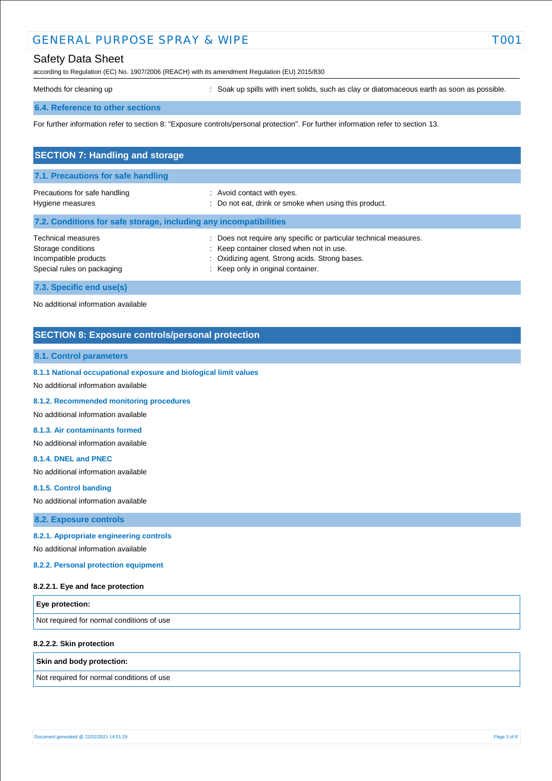## GENERAL PURPOSE SPRAY & WIPE TO THE TOO

## Safety Data Sheet

according to Regulation (EC) No. 1907/2006 (REACH) with its amendment Regulation (EU) 2015/830

Methods for cleaning up **interpret in the spills** with inert solids, such as clay or diatomaceous earth as soon as possible.

#### **6.4. Reference to other sections**

For further information refer to section 8: "Exposure controls/personal protection". For further information refer to section 13.

| <b>SECTION 7: Handling and storage</b>                                                                 |                                                                                                                                                                                                       |
|--------------------------------------------------------------------------------------------------------|-------------------------------------------------------------------------------------------------------------------------------------------------------------------------------------------------------|
| 7.1. Precautions for safe handling                                                                     |                                                                                                                                                                                                       |
| Precautions for safe handling<br>Hygiene measures                                                      | : Avoid contact with eyes.<br>: Do not eat, drink or smoke when using this product.                                                                                                                   |
| 7.2. Conditions for safe storage, including any incompatibilities                                      |                                                                                                                                                                                                       |
| <b>Technical measures</b><br>Storage conditions<br>Incompatible products<br>Special rules on packaging | : Does not require any specific or particular technical measures.<br>: Keep container closed when not in use.<br>: Oxidizing agent. Strong acids. Strong bases.<br>: Keep only in original container. |
| 7.3. Specific end use(s)                                                                               |                                                                                                                                                                                                       |

No additional information available

### **SECTION 8: Exposure controls/personal protection**

#### **8.1. Control parameters**

**8.1.1 National occupational exposure and biological limit values** 

No additional information available

**8.1.2. Recommended monitoring procedures** 

No additional information available

#### **8.1.3. Air contaminants formed**

No additional information available

#### **8.1.4. DNEL and PNEC**

No additional information available

**8.1.5. Control banding** 

No additional information available

**8.2. Exposure controls**

#### **8.2.1. Appropriate engineering controls**

No additional information available

**8.2.2. Personal protection equipment** 

#### **8.2.2.1. Eye and face protection**

| <b>Eye protection:</b>                    |  |
|-------------------------------------------|--|
| Not required for normal conditions of use |  |

#### **8.2.2.2. Skin protection**

#### **Skin and body protection:**

Not required for normal conditions of use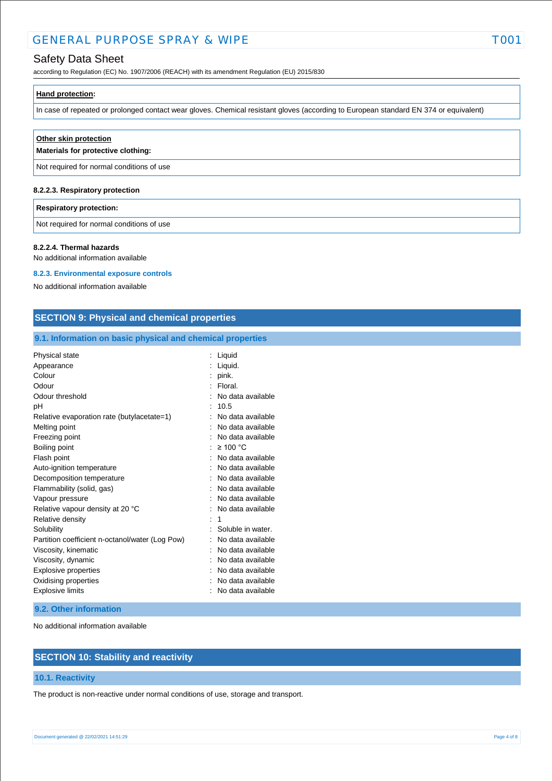## GENERAL PURPOSE SPRAY & WIPE TOOT

## Safety Data Sheet

according to Regulation (EC) No. 1907/2006 (REACH) with its amendment Regulation (EU) 2015/830

|  | <b>Hand protection:</b> |  |  |  |  |
|--|-------------------------|--|--|--|--|
|--|-------------------------|--|--|--|--|

In case of repeated or prolonged contact wear gloves. Chemical resistant gloves (according to European standard EN 374 or equivalent)

| Other skin protection<br>Materials for protective clothing: |
|-------------------------------------------------------------|
| Not required for normal conditions of use                   |
|                                                             |

## **8.2.2.3. Respiratory protection**

#### **Respiratory protection:**

Not required for normal conditions of use

#### **8.2.2.4. Thermal hazards**

No additional information available

#### **8.2.3. Environmental exposure controls**

No additional information available

### **SECTION 9: Physical and chemical properties**

### **9.1. Information on basic physical and chemical properties**

| Physical state                                  | Liquid            |
|-------------------------------------------------|-------------------|
| Appearance                                      | Liquid.           |
| Colour                                          | pink.             |
| Odour                                           | Floral.           |
| Odour threshold                                 | No data available |
| рH                                              | 10.5              |
| Relative evaporation rate (butylacetate=1)      | No data available |
| Melting point                                   | No data available |
| Freezing point                                  | No data available |
| Boiling point                                   | $\geq 100$ °C     |
| Flash point                                     | No data available |
| Auto-ignition temperature                       | No data available |
| Decomposition temperature                       | No data available |
| Flammability (solid, gas)                       | No data available |
| Vapour pressure                                 | No data available |
| Relative vapour density at 20 °C                | No data available |
| Relative density                                | 1                 |
| Solubility                                      | Soluble in water. |
| Partition coefficient n-octanol/water (Log Pow) | No data available |
| Viscosity, kinematic                            | No data available |
| Viscosity, dynamic                              | No data available |
| <b>Explosive properties</b>                     | No data available |
| Oxidising properties                            | No data available |
| <b>Explosive limits</b>                         | No data available |

#### **9.2. Other information**

No additional information available

## **SECTION 10: Stability and reactivity**

#### **10.1. Reactivity**

The product is non-reactive under normal conditions of use, storage and transport.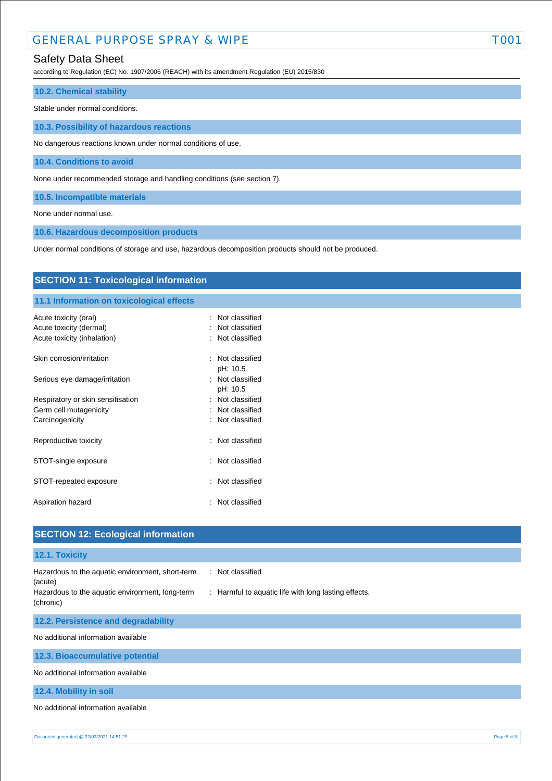## GENERAL PURPOSE SPRAY & WIPE TOOT

## Safety Data Sheet

according to Regulation (EC) No. 1907/2006 (REACH) with its amendment Regulation (EU) 2015/830

## **10.2. Chemical stability**

Stable under normal conditions.

**10.3. Possibility of hazardous reactions**

No dangerous reactions known under normal conditions of use.

**10.4. Conditions to avoid**

None under recommended storage and handling conditions (see section 7).

**10.5. Incompatible materials**

None under normal use.

**10.6. Hazardous decomposition products**

Under normal conditions of storage and use, hazardous decomposition products should not be produced.

| <b>SECTION 11: Toxicological information</b>           |                                    |  |  |  |
|--------------------------------------------------------|------------------------------------|--|--|--|
| 11.1 Information on toxicological effects              |                                    |  |  |  |
| Acute toxicity (oral)                                  | : Not classified<br>Not classified |  |  |  |
| Acute toxicity (dermal)<br>Acute toxicity (inhalation) | Not classified                     |  |  |  |
| Skin corrosion/irritation                              | : Not classified<br>pH: 10.5       |  |  |  |
| Serious eye damage/irritation                          | : Not classified<br>pH: 10.5       |  |  |  |
| Respiratory or skin sensitisation                      | : Not classified                   |  |  |  |
| Germ cell mutagenicity                                 | Not classified<br>÷                |  |  |  |
| Carcinogenicity                                        | : Not classified                   |  |  |  |
| Reproductive toxicity                                  | Not classified<br>÷                |  |  |  |
| STOT-single exposure                                   | : Not classified                   |  |  |  |
| STOT-repeated exposure                                 | : Not classified                   |  |  |  |
| Aspiration hazard                                      | : Not classified                   |  |  |  |
|                                                        |                                    |  |  |  |
| <b>SECTION 12: Ecological information</b>              |                                    |  |  |  |

**12.1. Toxicity** Hazardous to the aquatic environment, short-term (acute) : Not classified Hazardous to the aquatic environment, long-term (chronic) : Harmful to aquatic life with long lasting effects. **12.2. Persistence and degradability** No additional information available **12.3. Bioaccumulative potential** No additional information available **12.4. Mobility in soil**

No additional information available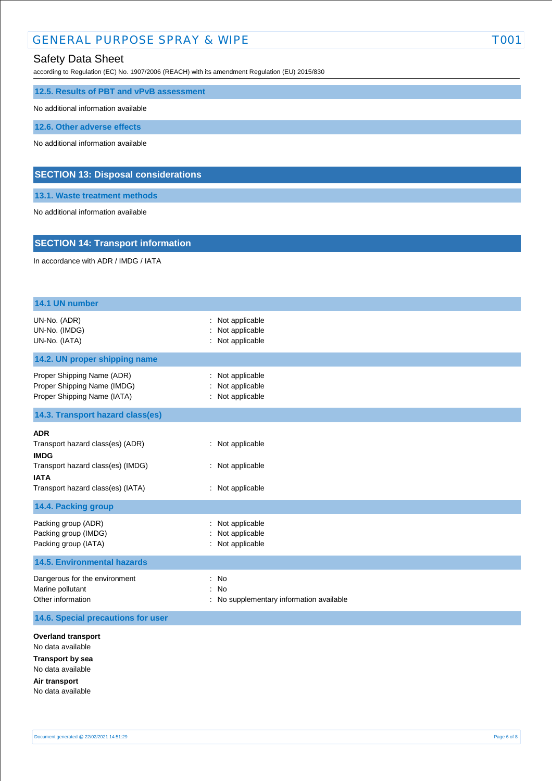## GENERAL PURPOSE SPRAY & WIPE TOOT TOOT

## Safety Data Sheet

according to Regulation (EC) No. 1907/2006 (REACH) with its amendment Regulation (EU) 2015/830

#### **12.5. Results of PBT and vPvB assessment**

No additional information available

**12.6. Other adverse effects**

No additional information available

### **SECTION 13: Disposal considerations**

**13.1. Waste treatment methods**

No additional information available

### **SECTION 14: Transport information**

In accordance with ADR / IMDG / IATA

| 14.1 UN number                                                                                                                                         |                                                           |  |
|--------------------------------------------------------------------------------------------------------------------------------------------------------|-----------------------------------------------------------|--|
| UN-No. (ADR)<br>UN-No. (IMDG)<br>UN-No. (IATA)                                                                                                         | : Not applicable<br>Not applicable<br>Not applicable      |  |
| 14.2. UN proper shipping name                                                                                                                          |                                                           |  |
| Proper Shipping Name (ADR)<br>Proper Shipping Name (IMDG)<br>Proper Shipping Name (IATA)                                                               | Not applicable<br>Not applicable<br>Not applicable        |  |
| 14.3. Transport hazard class(es)                                                                                                                       |                                                           |  |
| <b>ADR</b><br>Transport hazard class(es) (ADR)<br><b>IMDG</b><br>Transport hazard class(es) (IMDG)<br><b>IATA</b><br>Transport hazard class(es) (IATA) | : Not applicable<br>: Not applicable<br>: Not applicable  |  |
| 14.4. Packing group                                                                                                                                    |                                                           |  |
| Packing group (ADR)<br>Packing group (IMDG)<br>Packing group (IATA)                                                                                    | Not applicable<br>Not applicable<br>Not applicable        |  |
| <b>14.5. Environmental hazards</b>                                                                                                                     |                                                           |  |
| Dangerous for the environment<br>Marine pollutant<br>Other information                                                                                 | <b>No</b><br>No<br>No supplementary information available |  |
| 14.6. Special precautions for user                                                                                                                     |                                                           |  |
| <b>Overland transport</b><br>No data available<br><b>Transport by sea</b><br>No data available<br>Air transport<br>No data available                   |                                                           |  |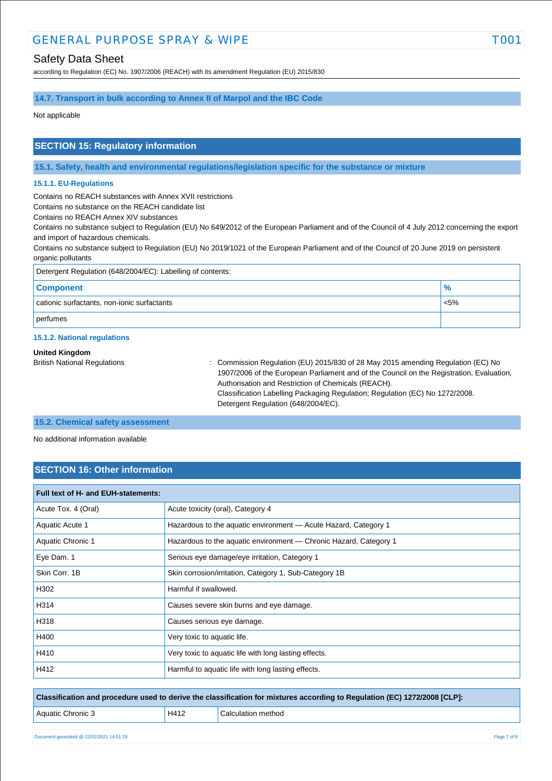## Safety Data Sheet

according to Regulation (EC) No. 1907/2006 (REACH) with its amendment Regulation (EU) 2015/830

### **14.7. Transport in bulk according to Annex II of Marpol and the IBC Code**

Not applicable

### **SECTION 15: Regulatory information**

**15.1. Safety, health and environmental regulations/legislation specific for the substance or mixture**

#### **15.1.1. EU-Regulations**

Contains no REACH substances with Annex XVII restrictions

Contains no substance on the REACH candidate list

Contains no REACH Annex XIV substances

Contains no substance subject to Regulation (EU) No 649/2012 of the European Parliament and of the Council of 4 July 2012 concerning the export and import of hazardous chemicals.

Contains no substance subject to Regulation (EU) No 2019/1021 of the European Parliament and of the Council of 20 June 2019 on persistent organic pollutants

| Detergent Regulation (648/2004/EC): Labelling of contents: |               |  |
|------------------------------------------------------------|---------------|--|
| <b>Component</b>                                           | $\frac{9}{6}$ |  |
| cationic surfactants, non-ionic surfactants                | $< 5\%$       |  |
| perfumes                                                   |               |  |

#### **15.1.2. National regulations**

#### **United Kingdom**

British National Regulations : Commission Regulation (EU) 2015/830 of 28 May 2015 amending Regulation (EC) No 1907/2006 of the European Parliament and of the Council on the Registration, Evaluation, Authorisation and Restriction of Chemicals (REACH). Classification Labelling Packaging Regulation; Regulation (EC) No 1272/2008. Detergent Regulation (648/2004/EC).

#### **15.2. Chemical safety assessment**

No additional information available

## **SECTION 16: Other information**

| <b>Full text of H- and EUH-statements:</b> |                                                                   |  |
|--------------------------------------------|-------------------------------------------------------------------|--|
| Acute Tox. 4 (Oral)                        | Acute toxicity (oral), Category 4                                 |  |
| Aquatic Acute 1                            | Hazardous to the aquatic environment - Acute Hazard, Category 1   |  |
| Aquatic Chronic 1                          | Hazardous to the aquatic environment - Chronic Hazard, Category 1 |  |
| Eye Dam. 1                                 | Serious eye damage/eye irritation, Category 1                     |  |
| Skin Corr. 1B                              | Skin corrosion/irritation, Category 1, Sub-Category 1B            |  |
| H302                                       | Harmful if swallowed.                                             |  |
| H314                                       | Causes severe skin burns and eye damage.                          |  |
| H318                                       | Causes serious eye damage.                                        |  |
| H400                                       | Very toxic to aquatic life.                                       |  |
| H410                                       | Very toxic to aquatic life with long lasting effects.             |  |
| H412                                       | Harmful to aquatic life with long lasting effects.                |  |

**Classification and procedure used to derive the classification for mixtures according to Regulation (EC) 1272/2008 [CLP]:**

| H412 | Calculation method |
|------|--------------------|
|      |                    |

Aquatic Chronic 3